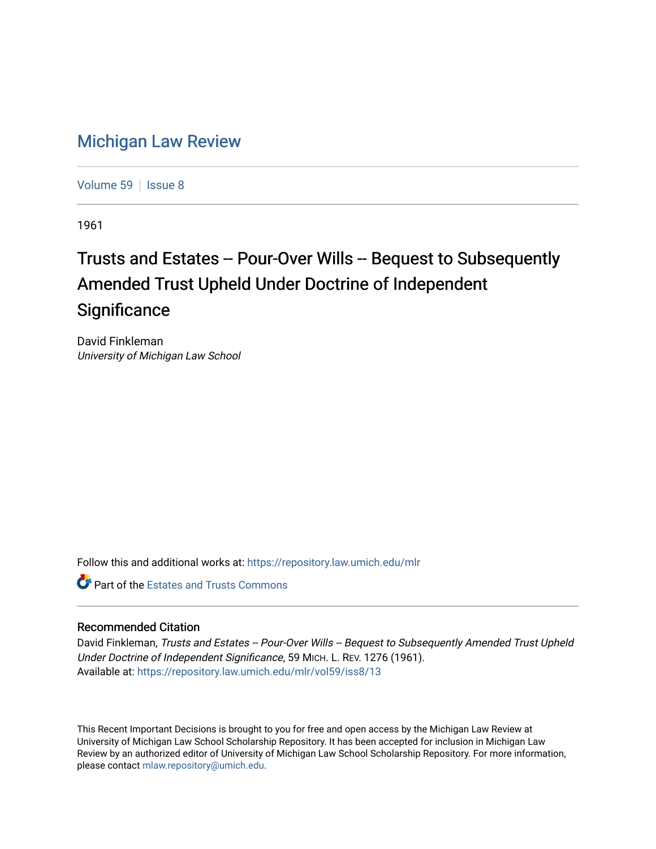## [Michigan Law Review](https://repository.law.umich.edu/mlr)

[Volume 59](https://repository.law.umich.edu/mlr/vol59) | [Issue 8](https://repository.law.umich.edu/mlr/vol59/iss8)

1961

## Trusts and Estates -- Pour-Over Wills -- Bequest to Subsequently Amended Trust Upheld Under Doctrine of Independent **Significance**

David Finkleman University of Michigan Law School

Follow this and additional works at: [https://repository.law.umich.edu/mlr](https://repository.law.umich.edu/mlr?utm_source=repository.law.umich.edu%2Fmlr%2Fvol59%2Fiss8%2F13&utm_medium=PDF&utm_campaign=PDFCoverPages) 

**C** Part of the Estates and Trusts Commons

## Recommended Citation

David Finkleman, Trusts and Estates -- Pour-Over Wills -- Bequest to Subsequently Amended Trust Upheld Under Doctrine of Independent Significance, 59 MICH. L. REV. 1276 (1961). Available at: [https://repository.law.umich.edu/mlr/vol59/iss8/13](https://repository.law.umich.edu/mlr/vol59/iss8/13?utm_source=repository.law.umich.edu%2Fmlr%2Fvol59%2Fiss8%2F13&utm_medium=PDF&utm_campaign=PDFCoverPages) 

This Recent Important Decisions is brought to you for free and open access by the Michigan Law Review at University of Michigan Law School Scholarship Repository. It has been accepted for inclusion in Michigan Law Review by an authorized editor of University of Michigan Law School Scholarship Repository. For more information, please contact [mlaw.repository@umich.edu.](mailto:mlaw.repository@umich.edu)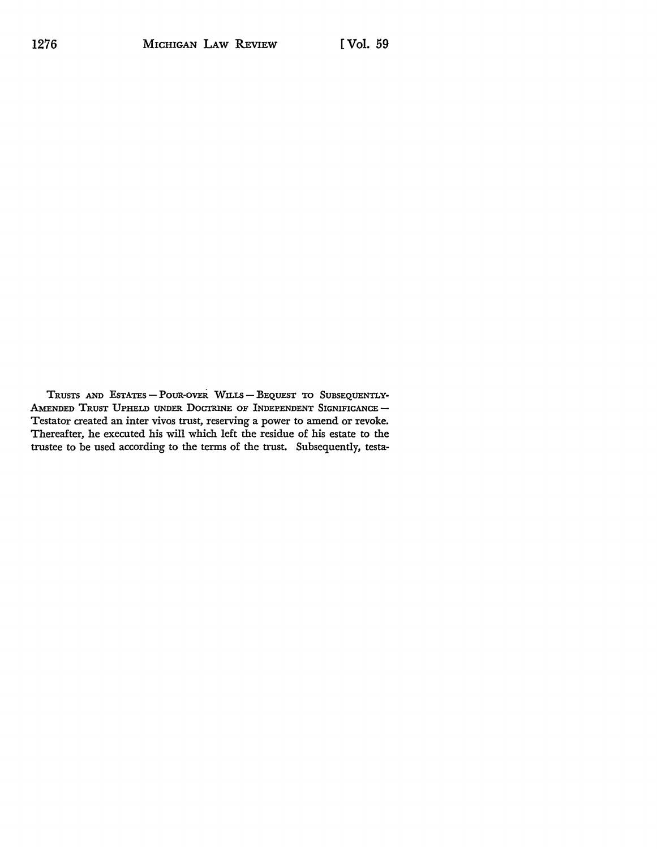TRUSTS AND ESTATES - POUR-OVER WILLS - BEQUEST TO SUBSEQUENTLY-AMENDED TRUST UPHELD UNDER DOCTRINE OF INDEPENDENT SIGNIFICANCE -Testator created an inter vivos trust, reserving a power to amend or revoke.<br>Thereafter, he executed his will which left the residue of his estate to the trustee to be used according to the terms of the trust. Subsequently, testa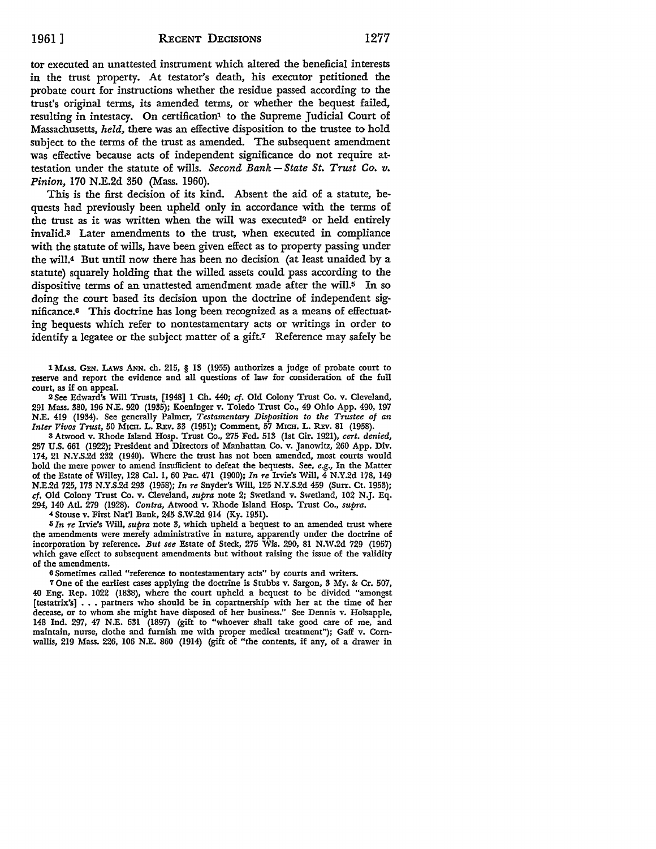tor executed an unattested instrument which altered the beneficial interests in the trust property. At testator's death, his executor petitioned the probate court for instructions whether the residue passed according to the trust's original terms, its amended terms, or whether the bequest failed, resulting in intestacy. On certification<sup>1</sup> to the Supreme Judicial Court of Massachusetts, *held,* there was an effective disposition to the trustee to hold subject to the terms of the trust as amended. The subsequent amendment was effective because acts of independent significance do not require attestation under the statute of wills. *Second Bank* - *State St. Trust Co. v. Pinion,* 170 N.E.2d 350 (Mass. 1960).

This is the first decision of its kind. Absent the aid of a statute, bequests had previously been upheld only in accordance with the terms of the trust as it was written when the will was executed? or held entirely invalid.<sup>3</sup> Later amendments to the trust, when executed in compliance with the statute of wills, have been given effect as to property passing under the will.4 But until now there has been no decision (at least unaided by a statute) squarely holding that the willed assets could pass according to the dispositive terms of an unattested amendment made after the will.5 In so doing the court based its decision upon the doctrine of independent significance.<sup>6</sup> This doctrine has long been recognized as a means of effectuating bequests which refer to nontestamentary acts or writings in order to identify a legatee or the subject matter of a gift.7 Reference may safely be

1 MASS. GEN. LAws ANN. ch. 215, § 13 (1955) authorizes a judge of probate court to reserve and report the evidence and all questions of law for consideration of the full court, as if on appeal.

<sup>2</sup>See Edward's Will Trusts, [1948] 1 Cb. 440; cf. Old Colony Trust Co. v. Cleveland, 291 Mass. 380, 196 N.E. 920 (1935); Koeninger v. Toledo Trust Co., 49 Ohio App. 490, 197 N.E. 419 (1934). See generally Palmer, *Testamentary Disposition to the Trustee of an Inter Vivos Trust,* 50 MICH. L. REv. 33 (1951); Comment, 57 MICH. L. REv. 81 (1958).

3 Atwood v. Rhode Island Hosp. Trust Co., 275 Fed. 513 (1st Cir. 1921), *cert. denied,*  257 U.S. 661 (1922); President and Directors of Manhattan Co. v. Janowitz, 260 App. Div. 174, 21 N.Y.S.2d 232 (1940). Where the trust has not been amended, most courts would hold the mere power to amend insufficient to defeat the bequests. See, *e.g.,* In the Matter of the Estate of Willey, 128 Cal. I, 60 Pac. 471 (1900); *In re* Irvie's Will, 4 N.Y.2d 178, 149 N.E.2d 725, 173 N.Y.S.2d 293 (1958); *In re* Snyder's Will, 125 N.Y.S.2d 459 (Surr. Ct. 1953); cf. Old Colony Trust Co. v. Cleveland, *supra* note 2; Swetland v. Swetland, 102 N.J. Eq. 294, 140 Atl. 279 (1928). *Contra,* Atwood v. Rhode Island Hosp. Trust Co., *supra.* 

4Stouse v. First Nat'! Bank, 245 S.W.2d 914 (Ky. 1951).

5 In re Irvie's Will, *supra* note 3, which upheld a bequest to an amended trust where the amendments were merely administrative in nature, apparently under the doctrine of incorporation by reference. *But see* Estate of Steck, 275 Wis. 290, 81 N.W.2d 729 (1957) which gave effect to subsequent amendments but without raising the issue of the validity of the amendments.

o Sometimes called "reference to nontestamentary acts" by courts and writers.

7 One of the earliest cases applying the doctrine is Stubbs v. Sargon, 3 My. &: Cr. 507, 40 Eng. Rep. 1022 (1838), where the court upheld a bequest to be divided "amongst [testatrix's]  $\ldots$  partners who should be in copartnership with her at the time of her decease, or to whom she might have disposed of her business." See Dennis v. Holsapple, 148 Ind. 297, 47 N.E. 631 (1897) (gift to "whoever shall take good care of me, and maintain, nurse, clothe and furnish me with proper medical treatment"); Gaff v. Cornwallis, 219 Mass. 226, 106 N.E. 860 (1914) (gift of "the contents, if any, of a drawer in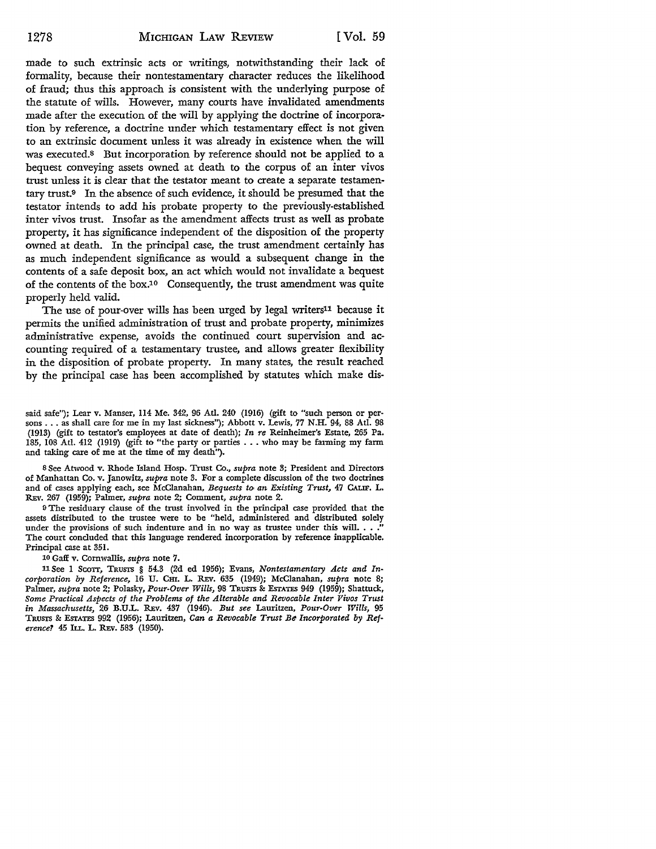made to such extrinsic acts or writings, notwithstanding their lack of formality, because their nontestamentary character reduces the likelihood of fraud; thus this approach is consistent with the underlying purpose of the statute of wills. However, many courts have invalidated amendments made after the execution of the will by applying the doctrine of incorporation by reference, a doctrine under which testamentary effect is not given to an extrinsic document unless it was already in existence when the will was executed.<sup>8</sup> But incorporation by reference should not be applied to a bequest conveying assets owned at death to the corpus of an inter vivos trust unless it is clear that the testator meant to create a separate testamentary trust.9 In the absence of such evidence, it should be presumed that the testator intends to add his probate property to the previously-established inter vivos trust. Insofar as the amendment affects trust as well as probate property, it has significance independent of the disposition of the property owned at death. In the principal case, the trust amendment certainly has as much independent significance as would a subsequent change in the contents of a safe deposit box, an act which would not invalidate a bequest of the contents of the box.<sup>10</sup> Consequently, the trust amendment was quite properly held valid.

The use of pour-over wills has been urged by legal writers<sup>11</sup> because it permits the unified administration of trust and probate property, minimizes administrative expense, avoids the continued court supervision and accounting required of a testamentary trustee, and allows greater flexibility in the disposition of probate property. In many states, the result reached by the principal case has been accomplished by statutes which make dis-

said safe"); Lear v. Manser, 114 Me. 342, 96 Atl. 240 (1916) (gift to "such person or persons ... as shall care for me in my last sickness"); Abbott v. Lewis, 77 N.H. 94, 88 Atl. 98 (1913) (gift to testator's employees at date of death); *In re* Reinheimer's Estate, 265 Pa. 185, 108 Atl. 412 (1919) (gift to "the party or parties . . . who may be farming my farm and taking care of me at the time of my death'').

s See Anvood v. Rhode Island Hosp. Trust Co., *supra* note 3; President and Directors of Manhattan Co. v. Janowitz, *supra* note 3. For a complete discussion of the two doctrines and of cases applying each, see McClanahan, *Bequests to, an Existing Trust,* 47 CALIF. L. REv. 267 (1959); Palmer, *supra* note 2; Comment, *supra* note 2.

<sup>9</sup>The residuary clause of the trust involved in the principal case provided that the assets distributed to the trustee were to be "held, administered and distributed solely under the provisions of such indenture and in no way as trustee under this will.  $\ldots$ The court concluded that this language rendered incorporation by reference inapplicable. Principal case at 351.

10 Gaff v. Cornwallis, *supra* note 7.

11 See I Scon, TRUSTS § 54.3 (2d ed 1956); Evans, *Non testamentary Acts and Incorporation by Reference,* 16 U. Cm. L. REv. 635 (1949); McClanahan, *supra* :note 8; Palmer, *supra* note 2; Polasky, *Pour-Over Wills*, 98 TRUSTS & ESTATES 949 (1959); Shattuck, *Some Practical Aspects of the Problems of the Alterable and Revocable Inter Vivos Trust in Massachusetts,* 26 B.U.L. REv. 437 (1946). *But see* Lauritzen, *Pour-Over Wills,* 95 TRUSTS & ESTATES 992 (1956); Lauritzen, *Can a Revocable Trust Be Incorporated by Reference?* 45 ILL. L. REv. 583 (1950).